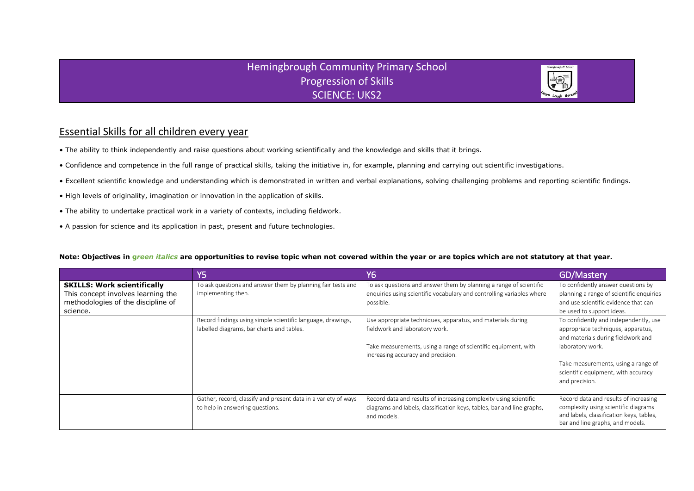## **Hemingbrough Community Primary School** Progression of Skills SCIENCE: UKS2



## Essential Skills for all children every year

- The ability to think independently and raise questions about working scientifically and the knowledge and skills that it brings.
- Confidence and competence in the full range of practical skills, taking the initiative in, for example, planning and carrying out scientific investigations.
- Excellent scientific knowledge and understanding which is demonstrated in written and verbal explanations, solving challenging problems and reporting scientific findings.
- High levels of originality, imagination or innovation in the application of skills.
- The ability to undertake practical work in a variety of contexts, including fieldwork.
- A passion for science and its application in past, present and future technologies.

## **Note: Objectives in g***reen italics* **are opportunities to revise topic when not covered within the year or are topics which are not statutory at that year.**

|                                                                                                                            | Y5                                                                                                       | <b>Y6</b>                                                                                                                                                                                             | GD/Mastery                                                                                                                                                                                                                            |
|----------------------------------------------------------------------------------------------------------------------------|----------------------------------------------------------------------------------------------------------|-------------------------------------------------------------------------------------------------------------------------------------------------------------------------------------------------------|---------------------------------------------------------------------------------------------------------------------------------------------------------------------------------------------------------------------------------------|
| <b>SKILLS: Work scientifically</b><br>This concept involves learning the<br>methodologies of the discipline of<br>science. | To ask questions and answer them by planning fair tests and<br>implementing then.                        | To ask questions and answer them by planning a range of scientific<br>enquiries using scientific vocabulary and controlling variables where<br>possible.                                              | To confidently answer questions by<br>planning a range of scientific enquiries<br>and use scientific evidence that can<br>be used to support ideas.                                                                                   |
|                                                                                                                            | Record findings using simple scientific language, drawings,<br>labelled diagrams, bar charts and tables. | Use appropriate techniques, apparatus, and materials during<br>fieldwork and laboratory work.<br>Take measurements, using a range of scientific equipment, with<br>increasing accuracy and precision. | To confidently and independently, use<br>appropriate techniques, apparatus,<br>and materials during fieldwork and<br>laboratory work.<br>Take measurements, using a range of<br>scientific equipment, with accuracy<br>and precision. |
|                                                                                                                            | Gather, record, classify and present data in a variety of ways<br>to help in answering questions.        | Record data and results of increasing complexity using scientific<br>diagrams and labels, classification keys, tables, bar and line graphs,<br>and models.                                            | Record data and results of increasing<br>complexity using scientific diagrams<br>and labels, classification keys, tables,<br>bar and line graphs, and models.                                                                         |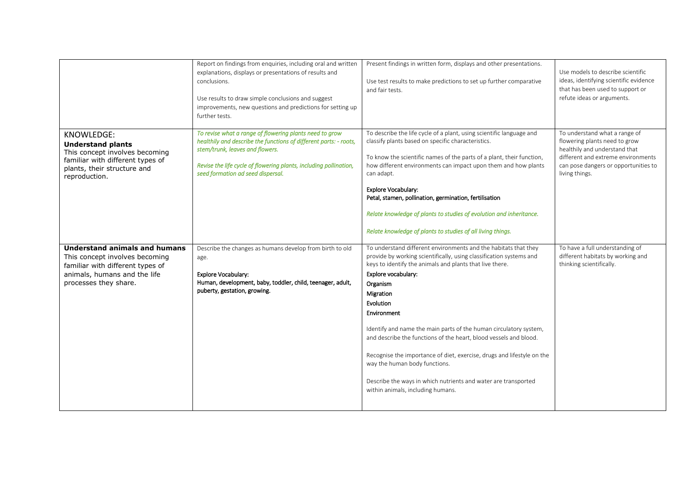|                                                                                                                                                                     | Report on findings from enquiries, including oral and written<br>explanations, displays or presentations of results and<br>conclusions.<br>Use results to draw simple conclusions and suggest<br>improvements, new questions and predictions for setting up<br>further tests. | Present findings in written form, displays and other presentations.<br>Use test results to make predictions to set up further comparative<br>and fair tests.                                                                                                                                                                                                                                                                                                                                                                                                                                                                               | Use models to describe scientific<br>ideas, identifying scientific evidence<br>that has been used to support or<br>refute ideas or arguments.                                                   |
|---------------------------------------------------------------------------------------------------------------------------------------------------------------------|-------------------------------------------------------------------------------------------------------------------------------------------------------------------------------------------------------------------------------------------------------------------------------|--------------------------------------------------------------------------------------------------------------------------------------------------------------------------------------------------------------------------------------------------------------------------------------------------------------------------------------------------------------------------------------------------------------------------------------------------------------------------------------------------------------------------------------------------------------------------------------------------------------------------------------------|-------------------------------------------------------------------------------------------------------------------------------------------------------------------------------------------------|
| <b>KNOWLEDGE:</b><br><b>Understand plants</b><br>This concept involves becoming<br>familiar with different types of<br>plants, their structure and<br>reproduction. | To revise what a range of flowering plants need to grow<br>healthily and describe the functions of different parts: - roots,<br>stem/trunk, leaves and flowers.<br>Revise the life cycle of flowering plants, including pollination,<br>seed formation ad seed dispersal.     | To describe the life cycle of a plant, using scientific language and<br>classify plants based on specific characteristics.<br>To know the scientific names of the parts of a plant, their function,<br>how different environments can impact upon them and how plants<br>can adapt.<br><b>Explore Vocabulary:</b><br>Petal, stamen, pollination, germination, fertilisation<br>Relate knowledge of plants to studies of evolution and inheritance.<br>Relate knowledge of plants to studies of all living things.                                                                                                                          | To understand what a range of<br>flowering plants need to grow<br>healthily and understand that<br>different and extreme environments<br>can pose dangers or opportunities to<br>living things. |
| <b>Understand animals and humans</b><br>This concept involves becoming<br>familiar with different types of<br>animals, humans and the life<br>processes they share. | Describe the changes as humans develop from birth to old<br>age.<br>Explore Vocabulary:<br>Human, development, baby, toddler, child, teenager, adult,<br>puberty, gestation, growing.                                                                                         | To understand different environments and the habitats that they<br>provide by working scientifically, using classification systems and<br>keys to identify the animals and plants that live there.<br>Explore vocabulary:<br>Organism<br>Migration<br>Evolution<br>Environment<br>Identify and name the main parts of the human circulatory system,<br>and describe the functions of the heart, blood vessels and blood.<br>Recognise the importance of diet, exercise, drugs and lifestyle on the<br>way the human body functions.<br>Describe the ways in which nutrients and water are transported<br>within animals, including humans. | To have a full understanding of<br>different habitats by working and<br>thinking scientifically.                                                                                                |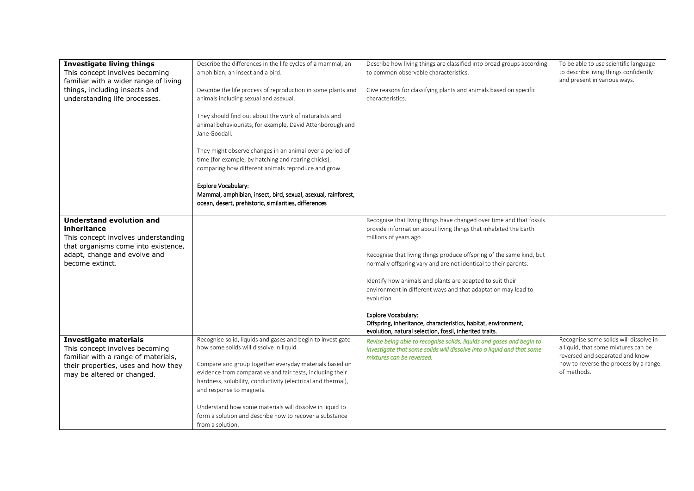| <b>Investigate living things</b><br>This concept involves becoming<br>familiar with a wider range of living<br>things, including insects and<br>understanding life processes.   | Describe the differences in the life cycles of a mammal, an<br>amphibian, an insect and a bird.<br>Describe the life process of reproduction in some plants and<br>animals including sexual and asexual.<br>They should find out about the work of naturalists and<br>animal behaviourists, for example, David Attenborough and<br>Jane Goodall.<br>They might observe changes in an animal over a period of<br>time (for example, by hatching and rearing chicks),<br>comparing how different animals reproduce and grow. | Describe how living things are classified into broad groups according<br>to common observable characteristics.<br>Give reasons for classifying plants and animals based on specific<br>characteristics.                                                                                                                                                                                                                                                                                                                                                                                                      | To be able to use scientific language<br>to describe living things confidently<br>and present in various ways.                                                           |
|---------------------------------------------------------------------------------------------------------------------------------------------------------------------------------|----------------------------------------------------------------------------------------------------------------------------------------------------------------------------------------------------------------------------------------------------------------------------------------------------------------------------------------------------------------------------------------------------------------------------------------------------------------------------------------------------------------------------|--------------------------------------------------------------------------------------------------------------------------------------------------------------------------------------------------------------------------------------------------------------------------------------------------------------------------------------------------------------------------------------------------------------------------------------------------------------------------------------------------------------------------------------------------------------------------------------------------------------|--------------------------------------------------------------------------------------------------------------------------------------------------------------------------|
|                                                                                                                                                                                 | <b>Explore Vocabulary:</b><br>Mammal, amphibian, insect, bird, sexual, asexual, rainforest,<br>ocean, desert, prehistoric, similarities, differences                                                                                                                                                                                                                                                                                                                                                                       |                                                                                                                                                                                                                                                                                                                                                                                                                                                                                                                                                                                                              |                                                                                                                                                                          |
| <b>Understand evolution and</b><br>inheritance<br>This concept involves understanding<br>that organisms come into existence,<br>adapt, change and evolve and<br>become extinct. |                                                                                                                                                                                                                                                                                                                                                                                                                                                                                                                            | Recognise that living things have changed over time and that fossils<br>provide information about living things that inhabited the Earth<br>millions of years ago.<br>Recognise that living things produce offspring of the same kind, but<br>normally offspring vary and are not identical to their parents.<br>Identify how animals and plants are adapted to suit their<br>environment in different ways and that adaptation may lead to<br>evolution<br>Explore Vocabulary:<br>Offspring, inheritance, characteristics, habitat, environment,<br>evolution, natural selection, fossil, inherited traits. |                                                                                                                                                                          |
| <b>Investigate materials</b><br>This concept involves becoming<br>familiar with a range of materials,<br>their properties, uses and how they<br>may be altered or changed.      | Recognise solid, liquids and gases and begin to investigate<br>how some solids will dissolve in liquid.<br>Compare and group together everyday materials based on<br>evidence from comparative and fair tests, including their<br>hardness, solubility, conductivity (electrical and thermal),<br>and response to magnets.<br>Understand how some materials will dissolve in liquid to<br>form a solution and describe how to recover a substance<br>from a solution.                                                      | Revise being able to recognise solids, liquids and gases and begin to<br>investigate that some solids will dissolve into a liquid and that some<br>mixtures can be reversed.                                                                                                                                                                                                                                                                                                                                                                                                                                 | Recognise some solids will dissolve in<br>a liquid, that some mixtures can be<br>reversed and separated and know<br>how to reverse the process by a range<br>of methods. |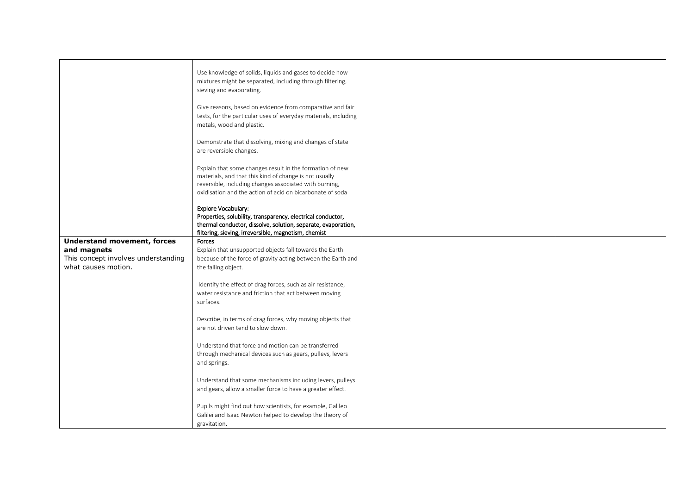|                                     | Use knowledge of solids, liquids and gases to decide how<br>mixtures might be separated, including through filtering,<br>sieving and evaporating.                                                                                         |  |
|-------------------------------------|-------------------------------------------------------------------------------------------------------------------------------------------------------------------------------------------------------------------------------------------|--|
|                                     | Give reasons, based on evidence from comparative and fair<br>tests, for the particular uses of everyday materials, including<br>metals, wood and plastic.                                                                                 |  |
|                                     | Demonstrate that dissolving, mixing and changes of state<br>are reversible changes.                                                                                                                                                       |  |
|                                     | Explain that some changes result in the formation of new<br>materials, and that this kind of change is not usually<br>reversible, including changes associated with burning,<br>oxidisation and the action of acid on bicarbonate of soda |  |
|                                     | Explore Vocabulary:<br>Properties, solubility, transparency, electrical conductor,<br>thermal conductor, dissolve, solution, separate, evaporation,<br>filtering, sieving, irreversible, magnetism, chemist                               |  |
| <b>Understand movement, forces</b>  | Forces                                                                                                                                                                                                                                    |  |
| and magnets                         | Explain that unsupported objects fall towards the Earth                                                                                                                                                                                   |  |
| This concept involves understanding | because of the force of gravity acting between the Earth and                                                                                                                                                                              |  |
| what causes motion.                 | the falling object.                                                                                                                                                                                                                       |  |
|                                     | Identify the effect of drag forces, such as air resistance,<br>water resistance and friction that act between moving<br>surfaces.                                                                                                         |  |
|                                     | Describe, in terms of drag forces, why moving objects that<br>are not driven tend to slow down.                                                                                                                                           |  |
|                                     | Understand that force and motion can be transferred<br>through mechanical devices such as gears, pulleys, levers<br>and springs.                                                                                                          |  |
|                                     | Understand that some mechanisms including levers, pulleys<br>and gears, allow a smaller force to have a greater effect.                                                                                                                   |  |
|                                     | Pupils might find out how scientists, for example, Galileo                                                                                                                                                                                |  |
|                                     | Galilei and Isaac Newton helped to develop the theory of                                                                                                                                                                                  |  |
|                                     | gravitation.                                                                                                                                                                                                                              |  |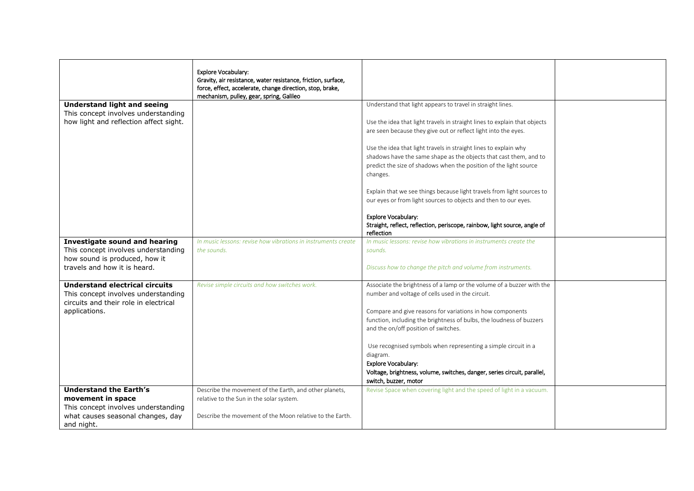|                                        | <b>Explore Vocabulary:</b>                                    |                                                                           |  |
|----------------------------------------|---------------------------------------------------------------|---------------------------------------------------------------------------|--|
|                                        | Gravity, air resistance, water resistance, friction, surface, |                                                                           |  |
|                                        | force, effect, accelerate, change direction, stop, brake,     |                                                                           |  |
|                                        | mechanism, pulley, gear, spring, Galileo                      |                                                                           |  |
| <b>Understand light and seeing</b>     |                                                               | Understand that light appears to travel in straight lines.                |  |
| This concept involves understanding    |                                                               |                                                                           |  |
| how light and reflection affect sight. |                                                               | Use the idea that light travels in straight lines to explain that objects |  |
|                                        |                                                               | are seen because they give out or reflect light into the eyes.            |  |
|                                        |                                                               |                                                                           |  |
|                                        |                                                               | Use the idea that light travels in straight lines to explain why          |  |
|                                        |                                                               | shadows have the same shape as the objects that cast them, and to         |  |
|                                        |                                                               | predict the size of shadows when the position of the light source         |  |
|                                        |                                                               | changes.                                                                  |  |
|                                        |                                                               |                                                                           |  |
|                                        |                                                               | Explain that we see things because light travels from light sources to    |  |
|                                        |                                                               | our eyes or from light sources to objects and then to our eyes.           |  |
|                                        |                                                               | Explore Vocabulary:                                                       |  |
|                                        |                                                               | Straight, reflect, reflection, periscope, rainbow, light source, angle of |  |
|                                        |                                                               | reflection                                                                |  |
| Investigate sound and hearing          | In music lessons: revise how vibrations in instruments create | In music lessons: revise how vibrations in instruments create the         |  |
| This concept involves understanding    | the sounds.                                                   | sounds.                                                                   |  |
| how sound is produced, how it          |                                                               |                                                                           |  |
| travels and how it is heard.           |                                                               | Discuss how to change the pitch and volume from instruments.              |  |
|                                        |                                                               |                                                                           |  |
| <b>Understand electrical circuits</b>  | Revise simple circuits and how switches work.                 | Associate the brightness of a lamp or the volume of a buzzer with the     |  |
| This concept involves understanding    |                                                               | number and voltage of cells used in the circuit.                          |  |
| circuits and their role in electrical  |                                                               |                                                                           |  |
| applications.                          |                                                               | Compare and give reasons for variations in how components                 |  |
|                                        |                                                               | function, including the brightness of bulbs, the loudness of buzzers      |  |
|                                        |                                                               | and the on/off position of switches.                                      |  |
|                                        |                                                               |                                                                           |  |
|                                        |                                                               | Use recognised symbols when representing a simple circuit in a            |  |
|                                        |                                                               | diagram.                                                                  |  |
|                                        |                                                               | <b>Explore Vocabulary:</b>                                                |  |
|                                        |                                                               | Voltage, brightness, volume, switches, danger, series circuit, parallel,  |  |
|                                        |                                                               | switch, buzzer, motor                                                     |  |
| <b>Understand the Earth's</b>          | Describe the movement of the Earth, and other planets,        | Revise Space when covering light and the speed of light in a vacuum.      |  |
| movement in space                      | relative to the Sun in the solar system.                      |                                                                           |  |
| This concept involves understanding    |                                                               |                                                                           |  |
| what causes seasonal changes, day      | Describe the movement of the Moon relative to the Earth.      |                                                                           |  |
| and night.                             |                                                               |                                                                           |  |